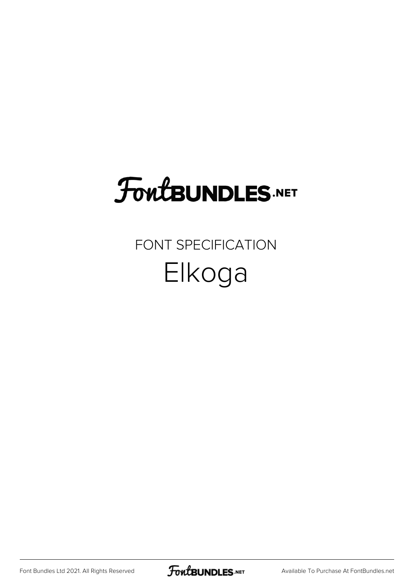### FoutBUNDLES.NET

#### FONT SPECIFICATION Elkoga

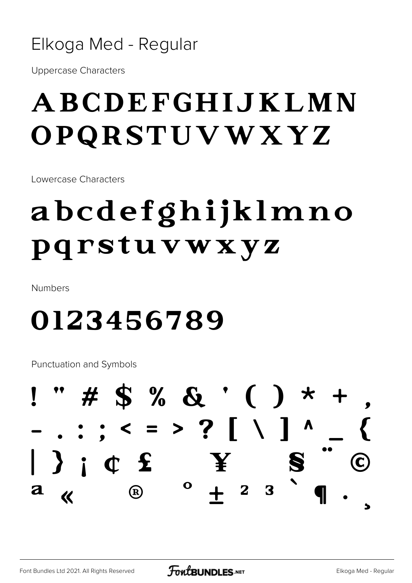#### Elkoga Med - Regular

**Uppercase Characters** 

#### ABCDEFGHIJKLMN OPQRSTUVWXYZ

Lowercase Characters

### abcdefghijklmno pqrstuvwxyz

**Numbers** 

#### 0123456789

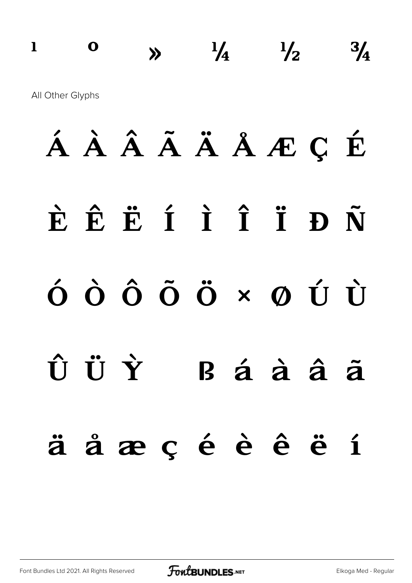#### $\frac{1}{4}$   $\frac{1}{2}$  $\mathbf{I}$  $\mathbf 0$  $\frac{3}{4}$ All Other Glyphs

# ÁÀÂÃÄÅÆÇÉ ÈÊËÍÎÎĐÑ  $\dot{\mathbf{O}}\hspace{0.1cm}\dot{\mathbf{O}}\hspace{0.1cm}\dot{\mathbf{O}}\hspace{0.1cm}\dot{\mathbf{O}}\hspace{0.1cm}\dot{\mathbf{O}}\hspace{0.1cm}\times\hspace{0.1cm}\mathbf{\Omega}\hspace{0.1cm}\dot{\mathbf{U}}\hspace{0.1cm}\dot{\mathbf{U}}$ ÛÜÝ  $B$  á à â  $\tilde{a}$ äåæçéèêëí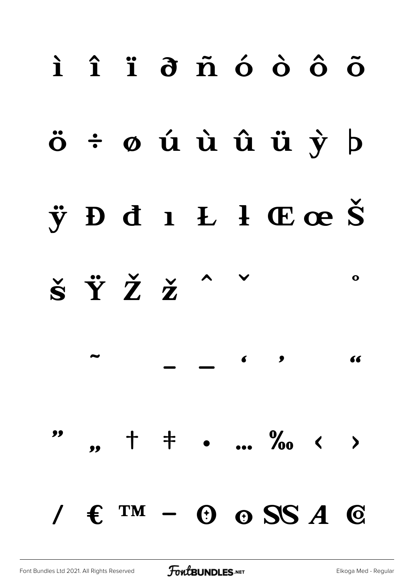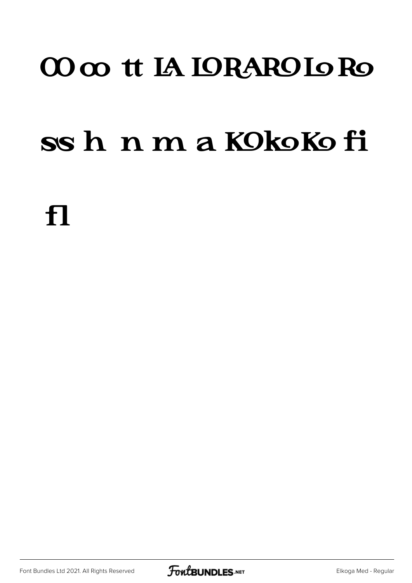#### 00 oo tt IA IORAROIO Ro

#### ss h n m a KOkoKo fi

f1

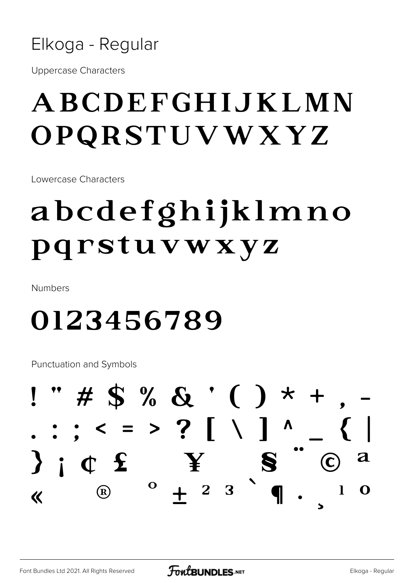

**Uppercase Characters** 

#### **ABCDEFGHLJKLMN** OPQRSTUVWXYZ

Lowercase Characters

### abcdefghijklmno pqrstuvwxyz

**Numbers** 

#### 0123456789

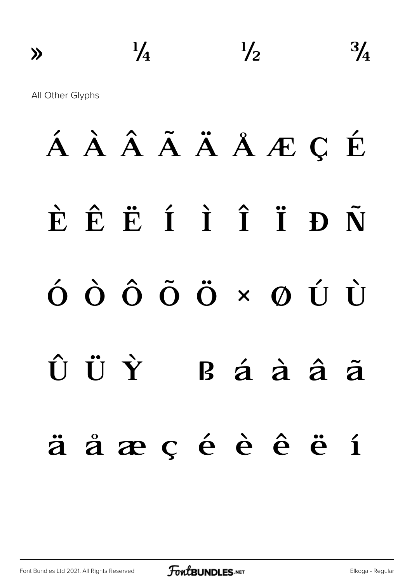$\frac{3}{4}$  $\frac{1}{4}$  $\frac{1}{2}$  $\lambda$ 

All Other Glyphs

# ÁÀÂÃÄÅÆÇÉ ÈÊËÍÎÎĐÑ  $\acute{\theta} \; \grave{\Theta} \; \grave{\Theta} \; \acute{\Theta} \; \dot{\Theta} \; \times \; \phi \; \acute{\Theta} \; \grave{\Theta}$ ÛÜÝ  $R$ á à â ã äåæçéèêëí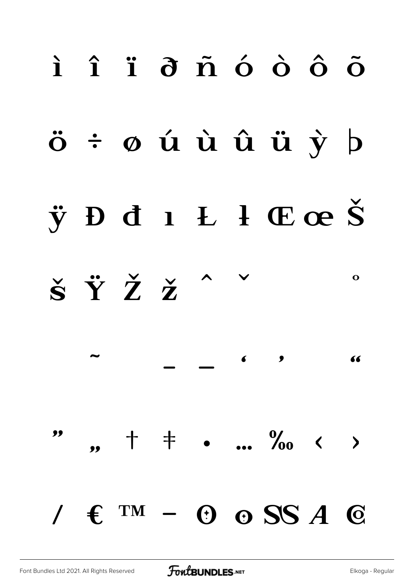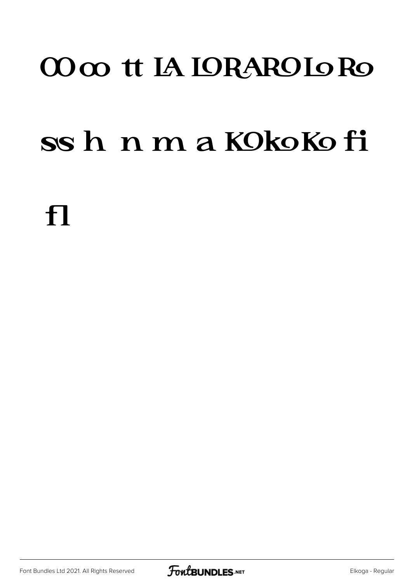#### CO co tt IA IORARO Io Ro

#### ssh nmaKOkoKofi

 $\mathbf{f}$ 

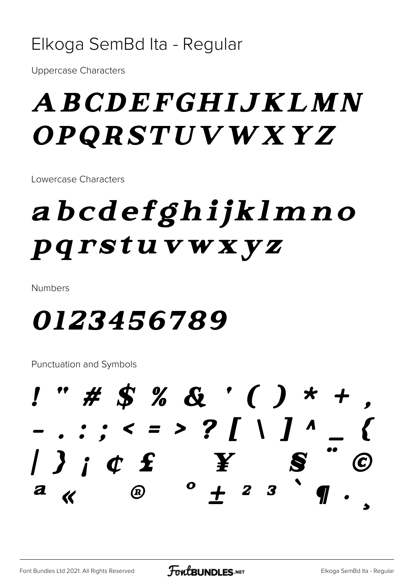#### Elkoga SemBd Ita - Regular

**Uppercase Characters** 

#### ABCDEFGHIJKLMN OPQRSTUVWXYZ

Lowercase Characters

### abcdefghijklmno pqrstuvwxyz

**Numbers** 

#### *0123456789*

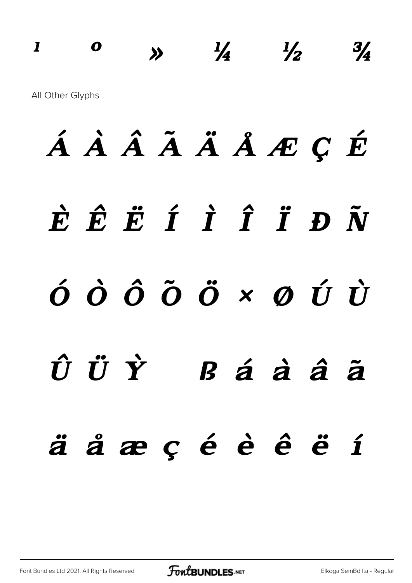#### $\mathbf{I}$  $\boldsymbol{o}$  $\frac{1}{4}$  $\frac{1}{2}$  $\frac{3}{4}$  $\lambda$ All Other Glyphs

# ÁÀÂÃÄÅÆÇÉ  $\dot{E}$   $\hat{E}$   $\ddot{E}$   $\dot{I}$   $\dot{I}$   $\ddot{I}$   $\ddot{D}$   $\ddot{N}$  $\acute{o}$   $\grave{o}$   $\acute{o}$   $\ddot{o}$   $\ddot{o}$   $\times$   $\acute{o}$   $\acute{o}$   $\acute{o}$ ÛÜÝ  $B$ áàââ äåæçéèêëí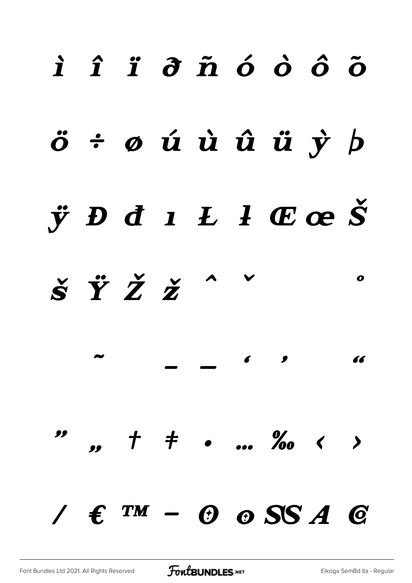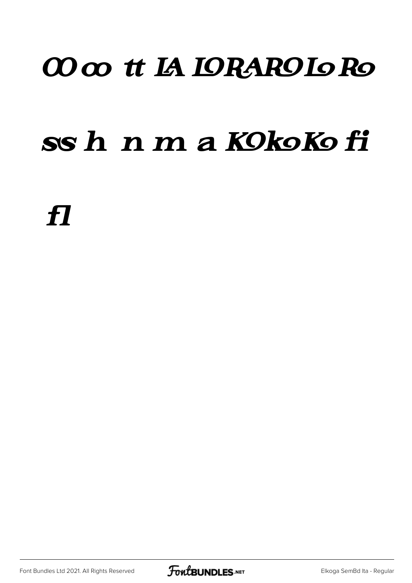#### 00 co tt IA IORAROIO Ro

#### ss h n m a KOkoKo fi

 $\boldsymbol{\mathcal{H}}$ 

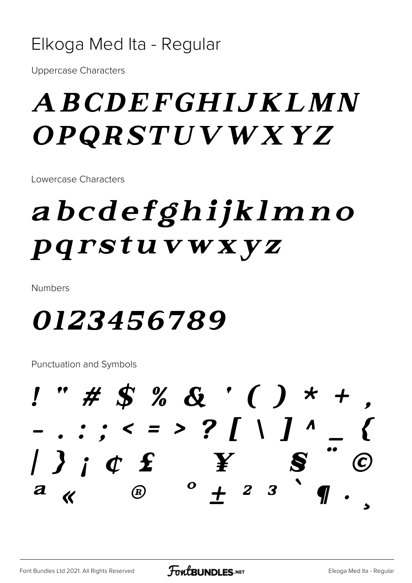#### Elkoga Med Ita - Regular

**Uppercase Characters** 

#### A BCDEFGHIJKLMN *OPQRSTUVWXYZ*

Lowercase Characters

### abcdefghijklmno pqrstuvwxyz

**Numbers** 

#### *0123456789*

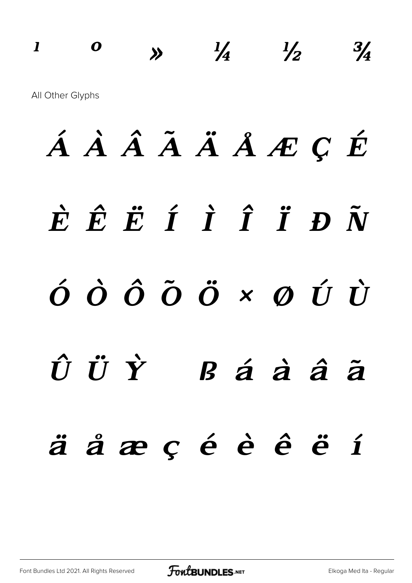#### $\mathbf{I}$  $\boldsymbol{o}$  $\frac{1}{4}$  $\frac{1}{2}$  $\frac{3}{4}$  $\lambda$ All Other Glyphs

# ÁÀÂÃÄÅÆÇÉ  $\dot{E}$   $\hat{E}$   $\ddot{E}$   $\dot{I}$   $\dot{I}$   $\ddot{I}$   $\ddot{D}$   $\ddot{N}$  $\acute{o}$   $\grave{o}$   $\acute{o}$   $\ddot{o}$   $\ddot{o}$   $\times$   $\acute{o}$   $\acute{o}$   $\acute{o}$ ÛÜÝ  $B$  á à â  $\tilde{a}$ äåæçéèêëí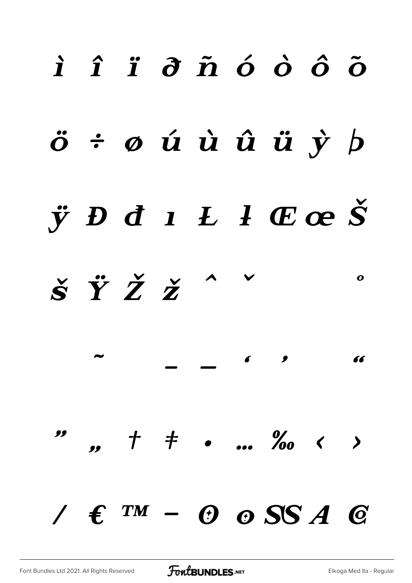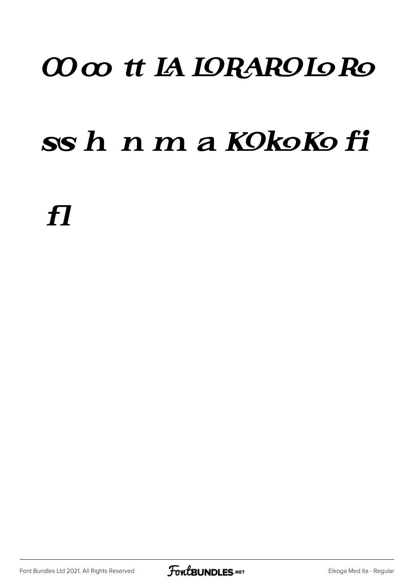#### 00 oo tt IA IORAROIO Ro

#### ss h n m a KOkoKo fi

 $\boldsymbol{\mathit H}$ 

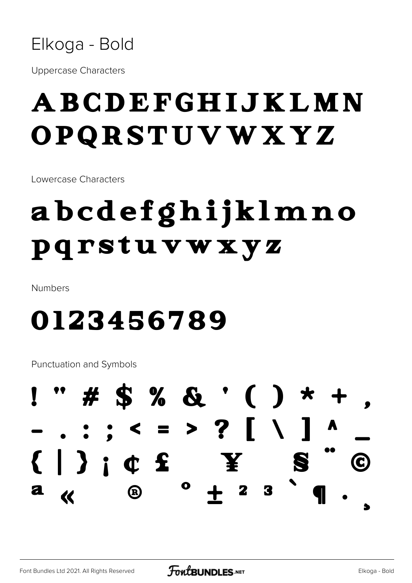

**Uppercase Characters** 

#### ABCDEFGHIJKLMN OPQRSTUVWXYZ

Lowercase Characters

### abcdefghijklmno pqrstuvwxyz

**Numbers** 

#### 0123456789

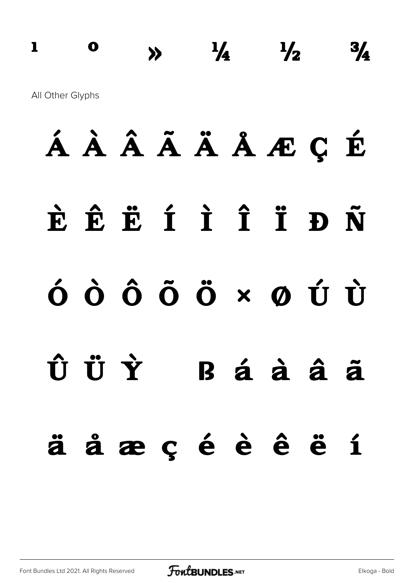#### $\frac{1}{4}$   $\frac{1}{2}$  $\mathbf 0$  $\mathbf{I}$  $3/4$  $\lambda$ All Other Glyphs

# ÁÀÂÃÄÅÆÇÉ ÈÊËÍÎÎĐÑ  $\dot{\mathbf{o}}$   $\dot{\mathbf{o}}$   $\dot{\mathbf{o}}$   $\ddot{\mathbf{o}}$   $\ddot{\mathbf{o}}$   $\times$   $\boldsymbol{\emptyset}$   $\dot{\mathbf{U}}$ ÛÜÝ Báàâã äåæçéèêëí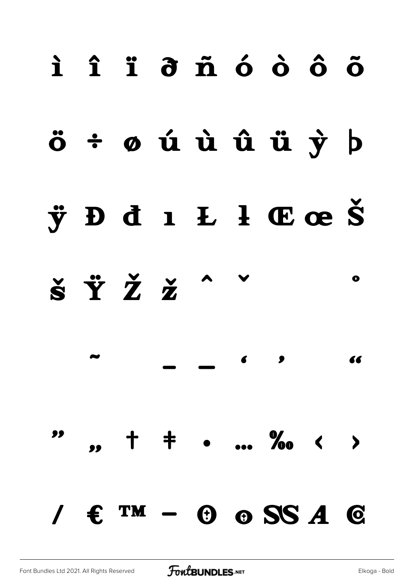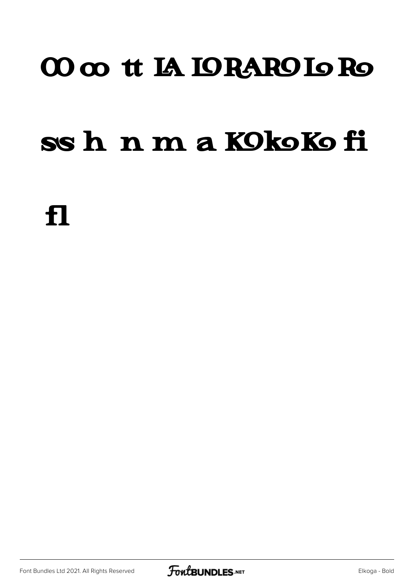#### 00 co tt IA IORARO Io Ro

#### ssh n m a KOkoKofi

f1

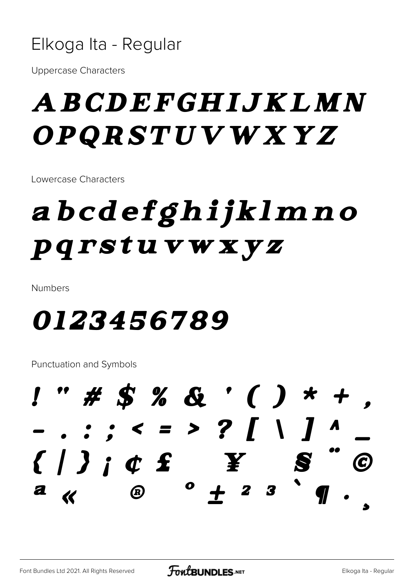

**Uppercase Characters** 

#### ABCDEFGHIJKLMN OPQRSTUVWXYZ

Lowercase Characters

### abcdefghijklmno pqrstuvwxyz

**Numbers** 

#### *0123456789*

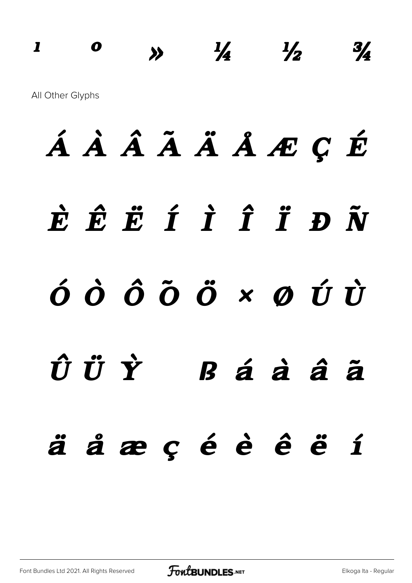#### $\frac{1}{4}$  $\mathbf{I}$  $\boldsymbol{o}$  $\frac{1}{2}$  $3/4$  $\sum$ All Other Glyphs

# ÁÀÂÃÄÅÆÇÉ ÈÊËÍÎÎĐÑ  $\acute{o}$   $\acute{o}$   $\ddot{o}$   $\ddot{o}$   $\times$   $\acute{o}$   $\acute{o}$   $\dot{U}$ ÛÜÝ  $B$ á à â  $\tilde{a}$ äåæçéèêëí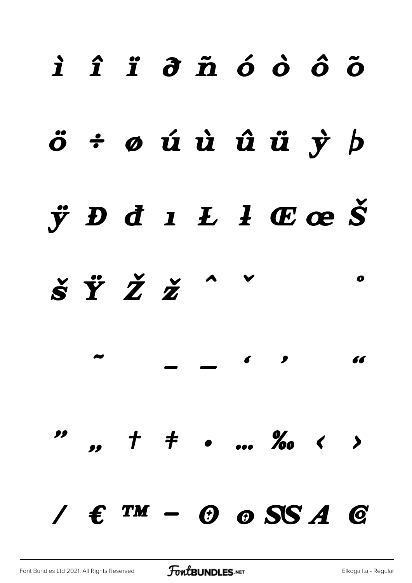![](_page_23_Figure_0.jpeg)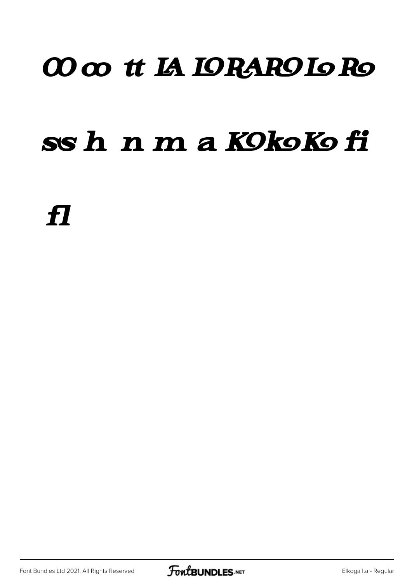#### 00 co tt IA IORAROIO Ro

#### ssh n m a KOkoKo fi

 $\boldsymbol{\mathcal{H}}$ 

![](_page_24_Picture_4.jpeg)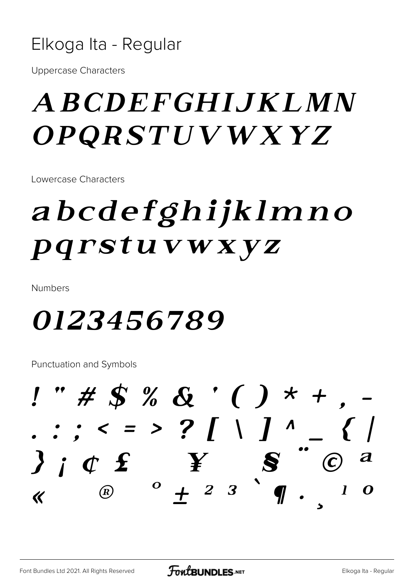![](_page_25_Picture_0.jpeg)

**Uppercase Characters** 

#### *ABCDEFGHIJKLMN OPQRSTUVWXYZ*

Lowercase Characters

### abcdefghijklmno pqrstuvwxyz

**Numbers** 

#### 0123456789

 $! " # $ % & . ( ) * + ,$  $: : < = > ?$  [ \ ] ^  $\bm{S}$  $j$  i  $\sigma$   $f$  $\boldsymbol{Y}$  $^{\circ}$  + 2 3  $^{\circ}$  ¶  $\mathbf{I}$  $\bigcirc$ O  $\overline{\mathcal{K}}$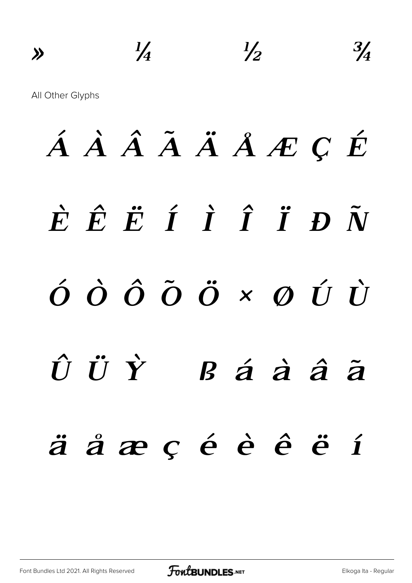$\frac{1}{4}$  $\frac{1}{2}$  $\frac{3}{4}$  $\rightarrow$ All Other Glyphs

# ÁÀÂÃÄÅÆÇÉ  $\dot{E}$   $\hat{E}$   $\ddot{E}$   $\dot{I}$   $\dot{I}$   $\ddot{I}$   $\ddot{D}$   $\tilde{N}$  $\acute{\mathrm{o}}\,\,\grave{\mathrm{o}}\,\,\hat{\mathrm{o}}\,\,\acute{\mathrm{o}}\,\,\ddot{\mathrm{o}}\,\,\ddot{\mathrm{o}}\,\,\kappa$   $\phantom{.0}\,\mathfrak{o}\,\,\acute{\mathrm{t}}\,\,\dot{\mathrm{t}}$  $\hat{U}$   $\ddot{U}$   $\dot{Y}$  $B$  á à â  $\tilde{a}$ äåæçéèêëí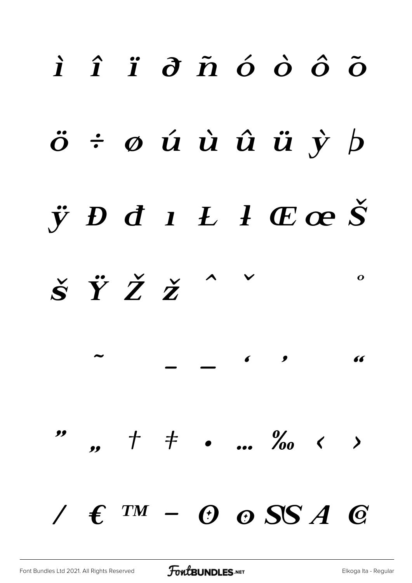![](_page_27_Figure_0.jpeg)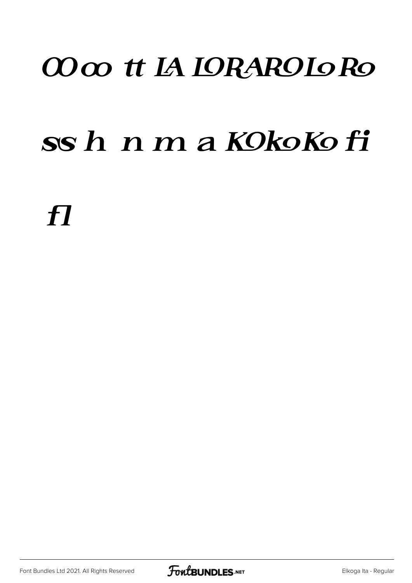#### CO co tt IA IORAROIO Ro

#### ssh nmaKOkoKofi

 $\boldsymbol{\mathit{H}}$ 

![](_page_28_Picture_4.jpeg)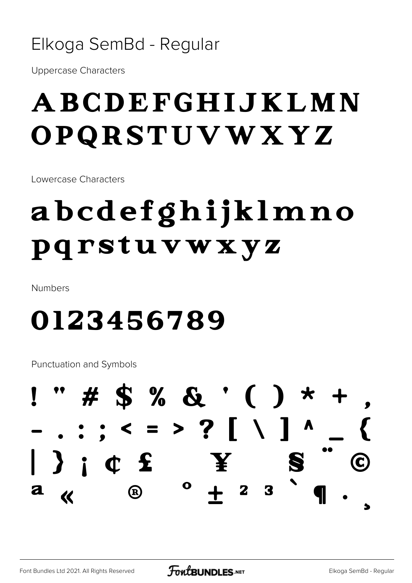#### Elkoga SemBd - Regular

**Uppercase Characters** 

#### ABCDEFGHIJKLMN OPQRSTUVWXYZ

Lowercase Characters

### abcdefghijklmno pqrstuvwxyz

**Numbers** 

#### 0123456789

![](_page_29_Figure_8.jpeg)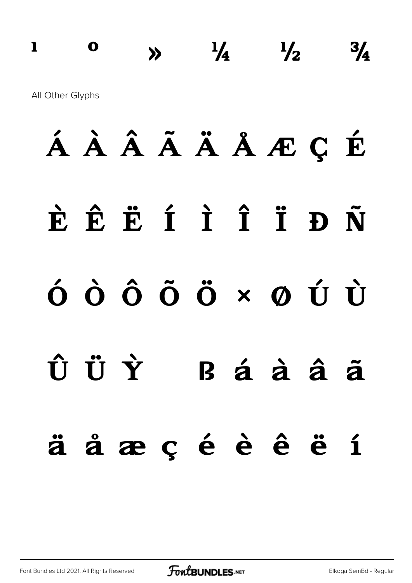## **a b**  $\frac{1}{4}$   $\frac{1}{2}$   $\frac{3}{4}$ All Other Glyphs

# **À Á Â Ã Ä Å Æ Ç È É Ê Ë Ì Í Î Ï Ð Ñ Ò Ó Ô Õ Ö × Ø Ù Ú Û Ü Ý ß à á â ã ä å æ ç è é ê ë ì**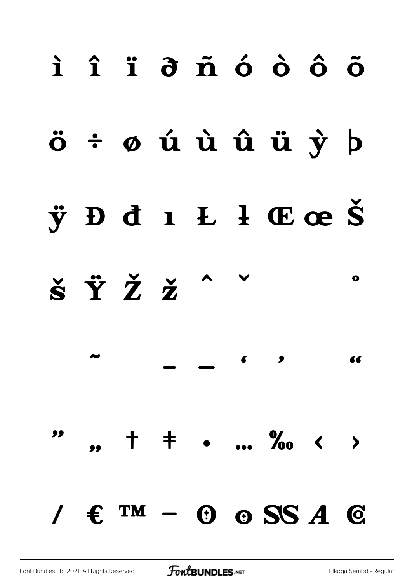![](_page_31_Figure_0.jpeg)